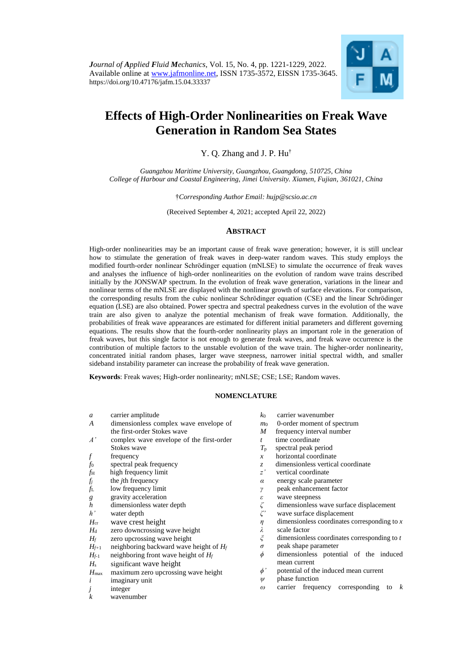

# **Effects of High-Order Nonlinearities on Freak Wave Generation in Random Sea States**

Y. Q. Zhang and J. P. Hu†

*Guangzhou Maritime University, Guangzhou, Guangdong, 510725, China College of Harbour and Coastal Engineering, Jimei University. Xiamen, Fujian, 361021, China*

†*Corresponding Author Email: hujp@scsio.ac.cn*

(Received September 4, 2021; accepted April 22, 2022)

# **ABSTRACT**

High-order nonlinearities may be an important cause of freak wave generation; however, it is still unclear how to stimulate the generation of freak waves in deep-water random waves. This study employs the modified fourth-order nonlinear Schrödinger equation (mNLSE) to simulate the occurrence of freak waves and analyses the influence of high-order nonlinearities on the evolution of random wave trains described initially by the JONSWAP spectrum. In the evolution of freak wave generation, variations in the linear and nonlinear terms of the mNLSE are displayed with the nonlinear growth of surface elevations. For comparison, the corresponding results from the cubic nonlinear Schrӧdinger equation (CSE) and the linear Schrӧdinger equation (LSE) are also obtained. Power spectra and spectral peakedness curves in the evolution of the wave train are also given to analyze the potential mechanism of freak wave formation. Additionally, the probabilities of freak wave appearances are estimated for different initial parameters and different governing equations. The results show that the fourth-order nonlinearity plays an important role in the generation of freak waves, but this single factor is not enough to generate freak waves, and freak wave occurrence is the contribution of multiple factors to the unstable evolution of the wave train. The higher-order nonlinearity, concentrated initial random phases, larger wave steepness, narrower initial spectral width, and smaller sideband instability parameter can increase the probability of freak wave generation.

**Keywords**: Freak waves; High-order nonlinearity; mNLSE; CSE; LSE; Random waves.

## **NOMENCLATURE**

- *a* carrier amplitude
- *A* dimensionless complex wave envelope of the first-order Stokes wave
- *A'* complex wave envelope of the first-order Stokes wave
- *f* frequency
- *f*<sup>0</sup> spectral peak frequency
- $f_{\rm H}$  high frequency limit
- $f_i$  the *j*th frequency
- *f*L low frequency limit
- *g* gravity acceleration
- *h* dimensionless water depth *h*<sup>2</sup>
- *h'* water depth
- *H*cr wave crest height
- *H*<sub>d</sub> zero downcrossing wave height
- $H_f$  zero upcrossing wave height
- *Hf+*1 neighboring backward wave height of *H<sup>f</sup>*
- $H_{f-1}$  neighboring front wave height of  $H_f$
- *H*<sup>s</sup> significant wave height
- *H*<sub>max</sub> maximum zero upcrossing wave height
- *i* imaginary unit
- *j* integer
- *k* wavenumber
- *k*<sup>0</sup> carrier wavenumber
- *m*<sup>0</sup> 0-order moment of spectrum
- *M* frequency interval number
- *t* time coordinate
- *T*p spectral peak period
- 
- *x* horizontal coordinate
- *z* dimensionless vertical coordinate
- *z'* vertical coordinate
- *α* energy scale parameter
- *γ* peak enhancement factor
- 
- *ζ* dimensionless wave surface displacement
- *ε* wave steepness<br>  $\zeta$  dimensionless v<br>  $\zeta$  wave surface di *ζ'* wave surface displacement
- *η* dimensionless coordinates corresponding to *x* scale factor *λ* scale factor
- 
- *ξ* dimensionless coordinates corresponding to *t σ* peak shape parameter
- 
- *ϕ* dimensionless potential of the induced mean current
- *ϕ'* potential of the induced mean current
- *ψ* phase function
- *ω* carrier frequency corresponding to *k*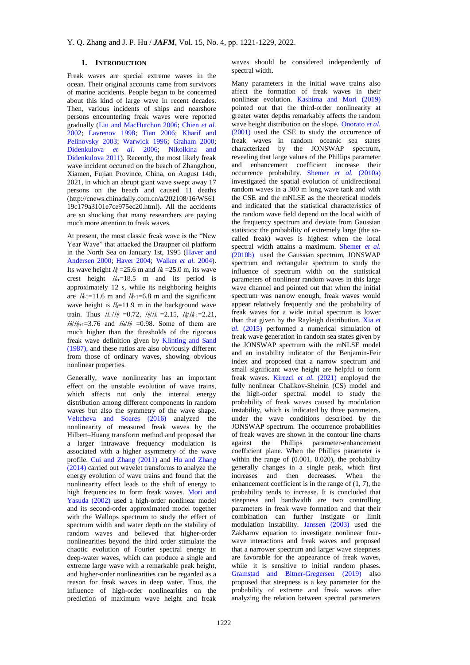# **1. INTRODUCTION**

Freak waves are special extreme waves in the ocean. Their original accounts came from survivors of marine accidents. People began to be concerned about this kind of large wave in recent decades. Then, various incidents of ships and nearshore persons encountering freak waves were reported gradually [\(Liu and MacHutchon 2006;](#page-8-0) [Chien](#page-7-0) *et al.* [2002;](#page-7-0) [Lavrenov 1998;](#page-8-1) [Tian 2006;](#page-8-2) [Kharif and](#page-8-3)  [Pelinovsky 2003;](#page-8-3) [Warwick 1996;](#page-8-4) [Graham 2000;](#page-8-5) [Didenkulova](#page-8-6) *et al*. 2006; [Nikolkina and](#page-8-7)  [Didenkulova 2011\)](#page-8-7). Recently, the most likely freak wave incident occurred on the beach of Zhangzhou, Xiamen, Fujian Province, China, on August 14th, 2021, in which an abrupt giant wave swept away 17 persons on the beach and caused 11 deaths (http://cnews.chinadaily.com.cn/a/202108/16/WS61 19c179a3101e7ce975ec20.html). All the accidents are so shocking that many researchers are paying much more attention to freak waves.

At present, the most classic freak wave is the "New Year Wave" that attacked the Draupner oil platform in the North Sea on January 1st, 1995 [\(Haver and](#page-8-8)  [Andersen 2000;](#page-8-8) [Haver 2004;](#page-8-9) [Walker](#page-8-10) *et al.* 2004). Its wave height  $H_f = 25.6$  m and  $H_d = 25.0$  m, its wave crest height  $H_{cr} = 18.5$  m and its period is approximately 12 s, while its neighboring heights are  $H_f = 11.6$  m and  $H_{f+1} = 6.8$  m and the significant wave height is  $H_s = 11.9$  m in the background wave train. Thus  $H_{cr}/H_f = 0.72$ ,  $H_f/H_s = 2.15$ ,  $H_f/H_{f-1} = 2.21$ ,  $H_f/H_{f+1}=3.76$  and  $H_d/H_f=0.98$ . Some of them are much higher than the thresholds of the rigorous freak wave definition given by [Klinting and Sand](#page-8-11)  [\(1987\),](#page-8-11) and these ratios are also obviously different from those of ordinary waves, showing obvious nonlinear properties.

Generally, wave nonlinearity has an important effect on the unstable evolution of wave trains, which affects not only the internal energy distribution among different components in random waves but also the symmetry of the wave shape. [Veltcheva and Soares \(2016\)](#page-8-10) analyzed the nonlinearity of measured freak waves by the Hilbert–Huang transform method and proposed that a larger intrawave frequency modulation is associated with a higher asymmetry of the wave profile. [Cui and Zhang](#page-8-12) (2011) and [Hu and Zhang](#page-8-13)  [\(2014\)](#page-8-13) carried out wavelet transforms to analyze the energy evolution of wave trains and found that the nonlinearity effect leads to the shift of energy to high frequencies to form freak waves. [Mori](#page-8-14) and [Yasuda \(2002\)](#page-8-14) used a high-order nonlinear model and its second-order approximated model together with the Wallops spectrum to study the effect of spectrum width and water depth on the stability of random waves and believed that higher-order nonlinearities beyond the third order stimulate the chaotic evolution of Fourier spectral energy in deep-water waves, which can produce a single and extreme large wave with a [remarkable](javascript:%20void(0)) peak height, and higher-order nonlinearities can be regarded as a reason for freak waves in deep water. Thus, the influence of high-order nonlinearities on the prediction of maximum wave height and freak

waves should be considered independently of spectral width.

Many parameters in the initial wave trains also affect the formation of freak waves in their nonlinear evolution. [Kashima and Mori \(2019\)](#page-8-3) pointed out that the third-order nonlinearity at greater water depths remarkably affects the random wave height distribution on the slope. [Onorato](#page-8-15) *et al.* [\(2001\)](#page-8-15) used the CSE to study the occurrence of freak waves in random oceanic sea states characterized by the JONSWAP spectrum, revealing that large values of the Phillips parameter and enhancement coefficient increase their occurrence probability. [Shemer](#page-8-2) *et al.* (2010a) investigated the spatial evolution of unidirectional random waves in a 300 m long wave tank and with the CSE and the mNLSE as the theoretical models and indicated that the statistical characteristics of the random wave field depend on the local width of the frequency spectrum and deviate from Gaussian statistics: the probability of extremely large (the socalled freak) waves is highest when the local spectral width attains a maximum. [Shemer](#page-8-16) *et al.* [\(2010b\)](#page-8-16) used the Gaussian spectrum, JONSWAP spectrum and rectangular spectrum to study the influence of spectrum width on the statistical parameters of nonlinear random waves in this large wave channel and pointed out that when the initial spectrum was narrow enough, freak waves would appear relatively frequently and the probability of freak waves for a wide initial spectrum is lower than that given by the Rayleigh distribution. [Xia](#page-8-17) *et al.* [\(2015\)](#page-8-17) performed a numerical simulation of freak wave generation in random sea states given by the JONSWAP spectrum with the mNLSE model and an instability indicator of the Benjamin-Feir index and proposed that a narrow spectrum and small significant wave height are helpful to form freak waves. [Kirezci](#page-8-11) *et al.* (2021) employed the fully nonlinear Chalikov-Sheinin (CS) model and the high-order spectral model to study the probability of freak waves caused by modulation instability, which is indicated by three parameters, under the wave conditions described by the JONSWAP spectrum. The occurrence probabilities of freak waves are shown in the contour line charts against the Phillips parameter-enhancement coefficient plane. When the Phillips parameter is within the range of (0.001, 0.020), the probability generally changes in a single peak, which first increases and then decreases. When the enhancement coefficient is in the range of  $(1, 7)$ , the probability tends to increase. It is concluded that steepness and bandwidth are two controlling parameters in freak wave formation and that their combination can further instigate or limit modulation instability. [Janssen \(2003\)](#page-8-18) used the Zakharov equation to investigate nonlinear fourwave interactions and freak waves and proposed that a narrower spectrum and larger wave steepness are favorable for the appearance of freak waves, while it is sensitive to initial random phases. [Gramstad and Bitner-Gregersen \(2019\)](#page-8-9) also proposed that steepness is a key parameter for the probability of extreme and freak waves after analyzing the relation between spectral parameters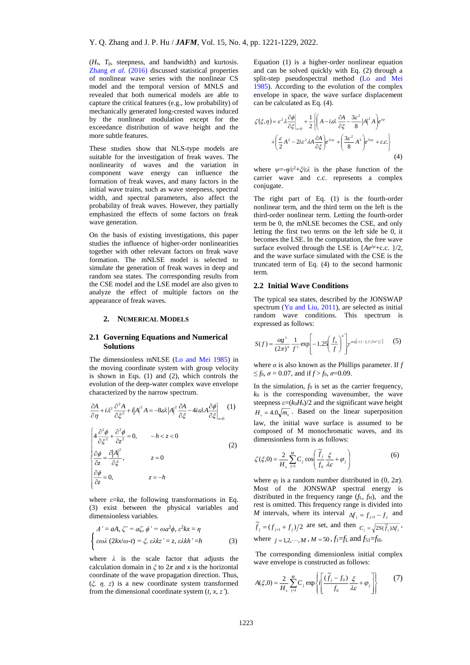(*H*s, *T*p, steepness, and bandwidth) and kurtosis[.](#page-8-19) [Zhang](#page-8-19) *et al.* (2016) discussed statistical properties of nonlinear wave series with the nonlinear CS model and the temporal version of MNLS and revealed that both numerical models are able to capture the critical features (e.g., low probability) of mechanically generated long-crested waves induced by the nonlinear modulation except for the exceedance distribution of wave height and the more subtle features.

These studies show that NLS-type models are suitable for the investigation of freak waves. The nonlinearity of waves and the variation in component wave energy can influence the formation of freak waves, and many factors in the initial wave trains, such as wave steepness, spectral width, and spectral parameters, also affect the probability of freak waves. However, they partially emphasized the effects of some factors on freak wave generation.

On the basis of existing investigations, this paper studies the influence of higher-order nonlinearities together with other relevant factors on freak wave formation. The mNLSE model is selected to simulate the generation of freak waves in deep and random sea states. The corresponding results from the CSE model and the LSE model are also given to analyze the effect of multiple factors on the appearance of freak waves.

## **2. NUMERICAL MODELS**

## **2.1 Governing Equations and Numerical Solutions**

The dimensionless mNLSE [\(Lo and Mei 1985\)](#page-8-20) in the moving coordinate system with group velocity is shown in Eqs. (1) and (2), which controls the evolution of the deep-water complex wave envelope characterized by the narrow spectrum.

$$
\frac{\partial A}{\partial \eta} + i\lambda^2 \frac{\partial^2 A}{\partial \xi^2} + i|A|^2 A = -8\mathcal{A}|A|^2 \frac{\partial A}{\partial \xi} - 4i\mathcal{A}A \frac{\partial \phi}{\partial \xi}\Big|_{z=0} \tag{1}
$$
\n
$$
\begin{cases}\n4 \frac{\partial^2 \phi}{\partial \xi^2} + \frac{\partial^2 \phi}{\partial z^2} = 0, & -h < z < 0 \\
\frac{\partial \phi}{\partial z} = \frac{\partial |A|^2}{\partial \xi}, & z = 0 \\
\frac{\partial \phi}{\partial z} = 0, & z = -h\n\end{cases} \tag{2}
$$

where  $\varepsilon = ka$ , the following transformations in Eq. (3) exist between the physical variables and dimensionless variables.

$$
A' = aA, \zeta' = a\zeta, \phi' = \omega a^2 \phi, \varepsilon^2 kx = \eta
$$
  

$$
\begin{cases} \varepsilon \omega \lambda (2kx/\omega - t) = \xi, \varepsilon \lambda kz' = z, \varepsilon \lambda kh' = h \end{cases}
$$
 (3)

where  $\lambda$  is the scale factor that adjusts the calculation domain in  $\xi$  to  $2\pi$  and x is the horizontal coordinate of the wave propagation direction. Thus, (*ξ, η, z*) is a new coordinate system transformed from the dimensional coordinate system (*t*, *x*, *z'*).

Equation (1) is a higher-order nonlinear equation and can be solved quickly with Eq. (2) through a split-step pseudospectral method [\(Lo and Mei](#page-8-20)  [1985\)](#page-8-20). According to the evolution of the complex envelope in space, the wave surface displacement can be calculated as Eq. (4).

$$
\zeta(\xi,\eta) = \varepsilon^2 \lambda \frac{\partial \phi}{\partial \xi}\Big|_{z=0} + \frac{1}{2} \left\{ \left( A - i\varepsilon \lambda \frac{\partial A}{\partial \xi} - \frac{3\varepsilon^2}{8} |A|^2 A \right) e^{i\psi} + \left( \frac{\varepsilon}{2} A^2 - 2i\varepsilon^2 \lambda A \frac{\partial A}{\partial \xi} \right) e^{2i\psi} + \left( \frac{3\varepsilon^2}{8} A^3 \right) e^{3i\psi} + c.c. \right\}
$$
(4)

where *ψ*=-*η*⁄*ε* <sup>2</sup>+*ξ*⁄*ελ* is the phase function of the carrier wave and c.c. represents a complex conjugate.

The right part of Eq. (1) is the fourth-order nonlinear term, and the third term on the left is the third-order nonlinear term. Letting the fourth-order term be 0, the mNLSE becomes the CSE, and only letting the first two terms on the left side be 0, it becomes the LSE. In the computation, the free wave surface evolved through the LSE is {*A*e *iψ*+c.c. }/2, and the wave surface simulated with the CSE is the truncated term of Eq. (4) to the second harmonic term.

#### **2.2 Initial Wave Conditions**

The typical sea states, described by the JONSWAP spectrum [\(Yu and Liu, 2011\)](#page-8-17), are selected as initial random wave conditions. This spectrum is expressed as follows:

$$
S(f) = \frac{cgs}{(2\pi)^4} \frac{1}{f^5} \exp\left[-1.25 \left(\frac{f_0}{f}\right)^4\right] y^{\exp\left[-(f-f_0)^2/2\sigma^2 f_0^2\right]} \tag{5}
$$

where  $\alpha$  is also known as the Phillips parameter. If  $f$  $\leq f_0$ ,  $\sigma = 0.07$ , and if  $f > f_0$ ,  $\sigma = 0.09$ .

In the simulation,  $f_0$  is set as the carrier frequency, *k*<sup>0</sup> is the corresponding wavenumber, the wave steepness  $\varepsilon = (k_0 H_s)/2$  and the significant wave height  $H_s = 4.0 \sqrt{m_o}$ . Based on the linear superposition law, the initial wave surface is assumed to be composed of M monochromatic waves, and its dimensionless form is as follows:

$$
\zeta(\xi,0) = \frac{2}{H_s} \sum_{j=1}^{M} C_j \cos\left(\frac{\tilde{f}_j}{f_0} \frac{\xi}{\lambda \varepsilon} + \varphi_j\right)
$$
(6)

where  $\varphi_i$  is a random number distributed in (0,  $2\pi$ ). Most of the JONSWAP spectral energy is distributed in the frequency range  $(f_L, f_H)$ , and the rest is omitted. This frequency range is divided into *M* intervals, where its interval  $\Delta f_i = f_{i+1} - f_i$  and  $\widetilde{f}_j = (f_{j+1} + f_j)/2$  are set, and then  $C_j = \sqrt{2S(\widetilde{f}_j)\Delta f_j}$ , where  $j = 1, 2, \dots, M$ ,  $M = 50$ ,  $f_1 = f_L$  and  $f_{51} = f_H$ .

The corresponding dimensionless initial complex wave envelope is constructed as follows:

$$
A(\xi,0) = \frac{2}{H_s} \sum_{j=1}^{M} C_j \exp\left\{i \left[ \frac{(\tilde{f}_j - f_0)}{f_0} \frac{\xi}{\lambda \varepsilon} + \varphi_j \right] \right\}
$$
(7)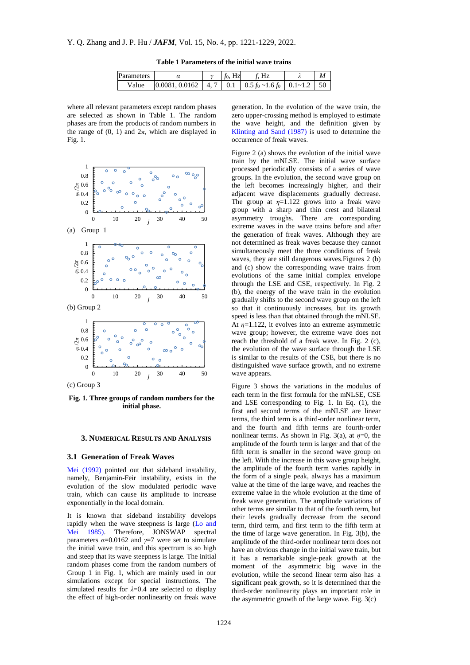| Parameters |  | $f_0$ , Hz | f. Hz |  |
|------------|--|------------|-------|--|
|            |  |            |       |  |

**Table 1 Parameters of the initial wave trains**

where all relevant parameters except random phases are selected as shown in Table 1. The random phases are from the products of random numbers in the range of  $(0, 1)$  and  $2\pi$ , which are displayed in Fig. 1.



**Fig. 1. Three groups of random numbers for the initial phase.**

#### **3. NUMERICAL RESULTS AND ANALYSIS**

#### **3.1 Generation of Freak Waves**

[Mei \(1992\)](#page-8-14) pointed out that sideband instability, namely, Benjamin-Feir instability, exists in the evolution of the slow modulated periodic wave train, which can cause its amplitude to increase exponentially in the local domain.

It is known that sideband instability develops rapidly when the wave steepness is large [\(Lo and](#page-8-20)  [Mei 1985\).](#page-8-20) Therefore, JONSWAP spectral parameters  $\alpha$ =0.0162 and  $\gamma$ =7 were set to simulate the initial wave train, and this spectrum is so high and steep that its wave steepness is large. The initial random phases come from the random numbers of Group 1 in Fig. 1, which are mainly used in our simulations except for special [instructions](javascript:%20void(0)). The simulated results for *λ*=0.4 are selected to display the effect of high-order nonlinearity on freak wave

generation. In the evolution of the wave train, the zero upper-crossing method is employed to estimate the wave height, and the definition given by [Klinting and Sand \(1987\)](#page-8-11) is used to determine the occurrence of freak waves.

Figure 2 (a) shows the evolution of the initial wave train by the mNLSE. The initial wave surface processed periodically consists of a series of wave groups. In the evolution, the second wave group on the left becomes increasingly higher, and their adjacent wave displacements gradually decrease. The group at  $\eta = 1.122$  grows into a freak wave group with a sharp and thin crest and bilateral asymmetry troughs. There are corresponding extreme waves in the wave trains before and after the generation of freak waves. Although they are not determined as freak waves because they cannot simultaneously meet the three conditions of freak waves, they are still dangerous waves.Figures 2 (b) and (c) show the corresponding wave trains from evolutions of the same initial complex envelope through the LSE and CSE, respectively. In Fig. 2 (b), the energy of the wave train in the evolution gradually shifts to the second wave group on the left so that it continuously increases, but its growth speed is less than that obtained through the mNLSE. At *η*=1.122, it evolves into an extreme asymmetric wave group; however, the extreme wave does not reach the threshold of a freak wave. In Fig. 2 (c), the evolution of the wave surface through the LSE is similar to the results of the CSE, but there is no distinguished wave surface growth, and no extreme wave appears.

Figure 3 shows the variations in the modulus of each term in the first formula for the mNLSE, CSE and LSE corresponding to Fig. 1. In Eq. (1), the first and second terms of the mNLSE are linear terms, the third term is a third-order nonlinear term, and the fourth and fifth terms are fourth-order nonlinear terms. As shown in Fig. 3(a), at  $\eta=0$ , the amplitude of the fourth term is larger and that of the fifth term is smaller in the second wave group on the left. With the increase in this wave group height, the amplitude of the fourth term varies rapidly in the form of a single peak, always has a maximum value at the time of the large wave, and reaches the extreme value in the whole evolution at the time of freak wave generation. The amplitude variations of other terms are similar to that of the fourth term, but their levels gradually decrease from the second term, third term, and first term to the fifth term at the time of large wave generation. In Fig. 3(b), the amplitude of the third-order nonlinear term does not have an obvious change in the initial wave train, but it has a remarkable single-peak growth at the moment of the asymmetric big wave in the evolution, while the second linear term also has a significant peak growth, so it is determined that the third-order nonlinearity plays an important role in the asymmetric growth of the large wave. Fig. 3(c)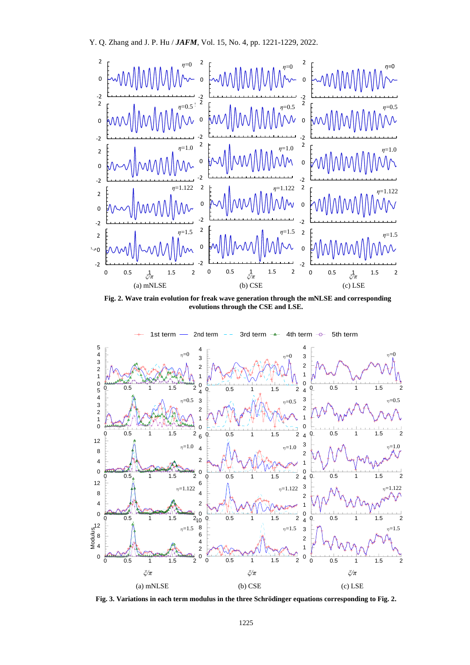

**Fig. 2. Wave train evolution for freak wave generation through the mNLSE and corresponding evolutions through the CSE and LSE.**



**Fig. 3. Variations in each term modulus in the three Schrӧdinger equations corresponding to Fig. 2.**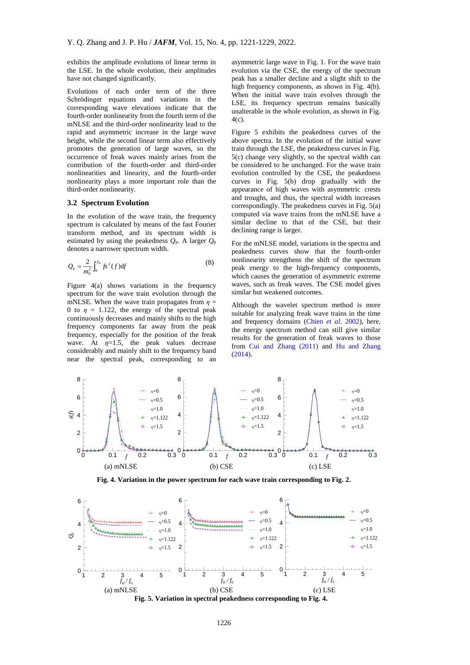exhibits the amplitude evolutions of linear terms in the LSE. In the whole evolution, their amplitudes have not changed significantly.

Evolutions of each order term of the three Schrödinger equations and variations in the corresponding wave elevations indicate that the fourth-order nonlinearity from the fourth term of the mNLSE and the third-order nonlinearity lead to the rapid and asymmetric increase in the large wave height, while the second linear term also effectively promotes the generation of large waves, so the occurrence of freak waves mainly arises from the contribution of the fourth-order and third-order nonlinearities and linearity, and the fourth-order nonlinearity plays a more important role than the third-order nonlinearity.

## **3.2 Spectrum Evolution**

In the evolution of the wave train, the frequency spectrum is calculated by means of the fast Fourier transform method, and its spectrum width is estimated by using the peakedness *Q*p. A larger *Q*<sup>p</sup> denotes a narrower spectrum width.

$$
Q_{\rm p} = \frac{2}{m_0^2} \int_0^{f_{\rm R}} f s^2(f) df
$$
 (8)

Figure 4(a) shows variations in the frequency spectrum for the wave train evolution through the mNLSE. When the wave train propagates from  $\eta$  = 0 to  $\eta = 1.122$ , the energy of the spectral peak continuously decreases and mainly shifts to the high frequency components far away from the peak frequency, especially for the position of the freak wave. At  $\eta=1.5$ , the peak values decrease considerably and mainly shift to the frequency band near the spectral peak, corresponding to an

asymmetric large wave in Fig. 1. For the wave train evolution via the CSE, the energy of the spectrum peak has a smaller decline and a slight shift to the high frequency components, as shown in Fig. 4(b). When the initial wave train evolves through the LSE, its frequency spectrum remains basically unalterable in the whole evolution, as shown in Fig. 4(c).

Figure 5 exhibits the peakedness curves of the above spectra. In the evolution of the initial wave train through the LSE, the peakedness curves in Fig. 5(c) change very slightly, so the spectral width can be considered to be unchanged. For the wave train evolution controlled by the CSE, the peakedness curves in Fig. 5(b) drop gradually with the appearance of high waves with asymmetric crests and troughs, and thus, the spectral width increases correspondingly. The peakedness curves in Fig. 5(a) computed via wave trains from the mNLSE have a similar decline to that of the CSE, but their declining range is larger.

For the mNLSE model, variations in the spectra and peakedness curves show that the fourth-order nonlinearity strengthens the shift of the spectrum peak energy to the high-frequency components, which causes the generation of asymmetric extreme waves, such as freak waves. The CSE model gives similar but weakened outcomes.

Although the wavelet spectrum method is more suitable for analyzing freak wave trains in the time and frequency domains (Chien *et al*[. 2002\)](#page-7-0), here, the energy spectrum method can still give similar results for the generation of freak waves to those from [Cui and Zhang](#page-8-12) (2011) and [Hu and Zhang](#page-8-13)  [\(2014\).](#page-8-13)



**Fig. 4. Variation in the power spectrum for each wave train corresponding to Fig. 2.**



**Fig. 5. Variation in spectral peakedness corresponding to Fig. 4.**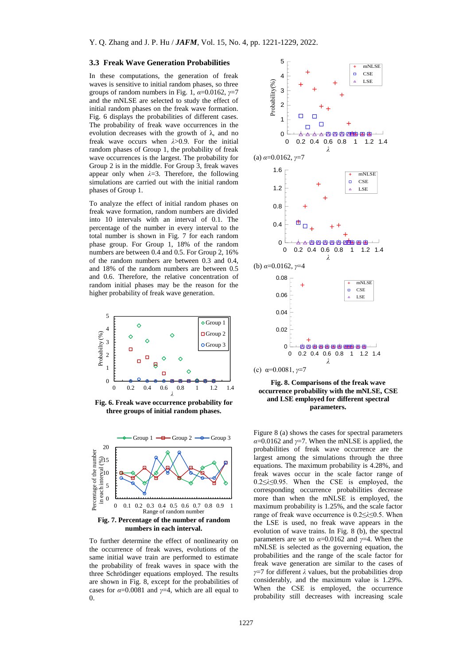#### **3.3 Freak Wave Generation Probabilities**

In these computations, the generation of freak waves is sensitive to initial random phases, so three groups of random numbers in Fig. 1,  $\alpha$ =0.0162,  $\gamma$ =7 and the mNLSE are selected to study the effect of initial random phases on the freak wave formation. Fig. 6 displays the probabilities of different cases. The probability of freak wave occurrences in the evolution decreases with the growth of  $\lambda$ , and no freak wave occurs when *λ*>0.9. For the initial random phases of Group 1, the probability of freak wave occurrences is the largest. The probability for Group 2 is in the middle. For Group 3, freak waves appear only when *λ*=3. Therefore, the following simulations are carried out with the initial random phases of Group 1.

To analyze the effect of initial random phases on freak wave formation, random numbers are divided into 10 intervals with an interval of 0.1. The percentage of the number in every interval to the total number is shown in Fig. 7 for each random phase group. For Group 1, 18% of the random numbers are between 0.4 and 0.5. For Group 2, 16% of the random numbers are between 0.3 and 0.4, and 18% of the random numbers are between 0.5 and 0.6. Therefore, the relative concentration of random initial phases may be the reason for the higher probability of freak wave generation.



**Fig. 6. Freak wave occurrence probability for three groups of initial random phases.**



To further determine the effect of nonlinearity on the occurrence of freak waves, evolutions of the same initial wave train are performed to estimate the probability of freak waves in space with the three Schrödinger equations employed. The results are shown in Fig. 8, except for the probabilities of cases for *α*=0.0081 and *γ*=4, which are all equal to  $\Omega$ .



## **Fig. 8. Comparisons of the freak wave occurrence probability with the mNLSE, CSE and LSE employed for different spectral parameters.**

Figure 8 (a) shows the cases for spectral parameters  $\alpha$ =0.0162 and  $\gamma$ =7. When the mNLSE is applied, the probabilities of freak wave occurrence are the largest among the simulations through the three equations. The maximum probability is 4.28%, and freak waves occur in the scale factor range of 0.2≤*λ*≤0.95. When the CSE is employed, the corresponding occurrence probabilities decrease more than when the mNLSE is employed, the maximum probability is 1.25%, and the scale factor range of freak wave occurrence is 0.2≤*λ*≤0.5. When the LSE is used, no freak wave appears in the evolution of wave trains. In Fig. 8 (b), the spectral parameters are set to *α*=0.0162 and *γ*=4. When the mNLSE is selected as the governing equation, the probabilities and the range of the scale factor for freak wave generation are similar to the cases of *γ*=7 for different *λ* values, but the probabilities drop considerably, and the maximum value is 1.29%. When the CSE is employed, the occurrence probability still decreases with increasing scale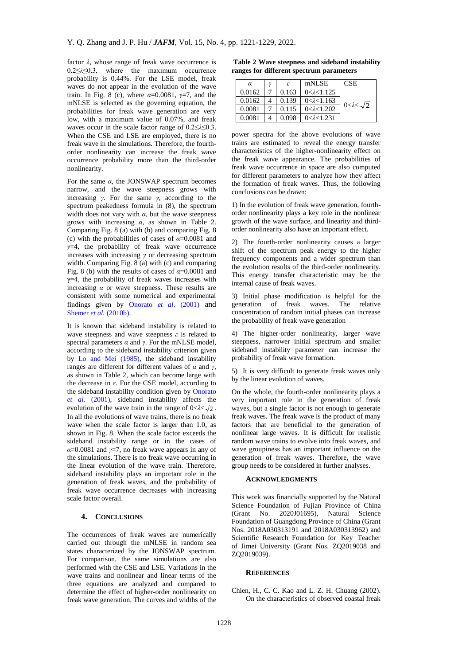factor *λ*, whose range of freak wave occurrence is 0.2≤*λ*≤0.3, where the maximum occurrence probability is 0.44%. For the LSE model, freak waves do not appear in the evolution of the wave train. In Fig. 8 (c), where  $\alpha = 0.0081$ ,  $\gamma = 7$ , and the mNLSE is selected as the governing equation, the probabilities for freak wave generation are very low, with a maximum value of 0.07%, and freak waves occur in the scale factor range of 0.2≤*λ*≤0.3. When the CSE and LSE are employed, there is no freak wave in the simulations. Therefore, the fourthorder nonlinearity can increase the freak wave occurrence probability more than the third-order nonlinearity.

For the same  $\alpha$ , the JONSWAP spectrum becomes narrow, and the wave steepness grows with increasing *γ*. For the same *γ*, according to the spectrum peakedness formula in (8), the spectrum width does not vary with  $\alpha$ , but the wave steepness grows with increasing *α*, as shown in Table 2. Comparing Fig. 8 (a) with (b) and comparing Fig. 8 (c) with the probabilities of cases of *α*=0.0081 and *γ*=4, the probability of freak wave occurrence increases with increasing *γ* or decreasing spectrum width. Comparing Fig. 8 (a) with (c) and comparing Fig. 8 (b) with the results of cases of  $\alpha$ =0.0081 and  $y=4$ , the probability of freak waves increases with increasing  $\alpha$  or wave steepness. These results are consistent with some numerical and experimental findings given by [Onorato](#page-8-15) *et al.* (2001) and Shemer *et al.* [\(2010b\).](#page-8-16)

It is known that sideband instability is related to wave steepness and wave steepness *ε* is related to spectral parameters  $\alpha$  and  $\gamma$ . For the mNLSE model, according to the sideband instability criterion given by [Lo and Mei \(1985\),](#page-8-20) the sideband instability ranges are different for different values of *α* and *γ*, as shown in Table 2, which can become large with the decrease in *ε*. For the CSE model, according to the sideband instability condition given by [Onorato](#page-8-15)  *et al.* [\(2001\),](#page-8-15) sideband instability affects the evolution of the wave train in the range of  $0 < \lambda < \sqrt{2}$ . In all the evolutions of wave trains, there is no freak wave when the scale factor is larger than 1.0, as shown in Fig. 8. When the scale factor exceeds the sideband instability range or in the cases of  $\alpha$ =0.0081 and *γ*=7, no freak wave appears in any of the simulations. There is no freak wave occurring in the linear evolution of the wave train. Therefore, sideband instability plays an important role in the generation of freak waves, and the probability of freak wave occurrence decreases with increasing scale factor overall.

# **4. CONCLUSIONS**

The occurrences of freak waves are numerically carried out through the mNLSE in random sea states characterized by the JONSWAP spectrum. For comparison, the same simulations are also performed with the CSE and LSE. Variations in the wave trains and nonlinear and linear terms of the three equations are analyzed and compared to determine the effect of higher-order nonlinearity on freak wave generation. The curves and widths of the

**Table 2 Wave steepness and sideband instability ranges for different spectrum parameters**

| α      | $\gamma$ | ε     | mNLSE                 | CSE                      |
|--------|----------|-------|-----------------------|--------------------------|
| 0.0162 |          | 0.163 | $0 < \lambda < 1.125$ |                          |
| 0.0162 |          | 0.139 | $0 < \lambda < 1.163$ | $0 < \lambda < \sqrt{2}$ |
| 0.0081 |          | 0.115 | $0 < \lambda < 1.202$ |                          |
|        |          | 0.098 | $0 < \lambda < 1.231$ |                          |

power spectra for the above evolutions of wave trains are estimated to reveal the energy transfer characteristics of the higher-nonlinearity effect on the freak wave appearance. The probabilities of freak wave occurrence in space are also computed for different parameters to analyze how they affect the formation of freak waves. Thus, the following conclusions can be drawn:

1) In the evolution of freak wave generation, fourthorder nonlinearity plays a key role in the nonlinear growth of the wave surface, and linearity and thirdorder nonlinearity also have an important effect.

2) The fourth-order nonlinearity causes a larger shift of the spectrum peak energy to the higher frequency components and a wider spectrum than the evolution results of the third-order nonlinearity. This energy transfer characteristic may be the internal cause of freak waves.

3) Initial phase modification is helpful for the generation of freak waves. The relative concentration of random initial phases can increase the probability of freak wave generation

4) The higher-order nonlinearity, larger wave steepness, narrower initial spectrum and smaller sideband instability parameter can increase the probability of freak wave formation.

5) It is very difficult to generate freak waves only by the linear evolution of waves.

On the whole, the fourth-order nonlinearity plays a very important role in the generation of freak waves, but a single factor is not enough to generate freak waves. The freak wave is the product of many factors that are beneficial to the generation of nonlinear large waves. It is difficult for realistic random wave trains to evolve into freak waves, and wave groupiness has an important influence on the generation of freak waves. Therefore, the wave group needs to be considered in further analyses.

# **ACKNOWLEDGMENTS**

This work was financially supported by the Natural Science Foundation of Fujian Province of China (Grant No. 2020J01695), Natural Science Foundation of Guangdong Province of China (Grant Nos. 2018A030313191 and 2018A030313962) and Scientific Research Foundation for Key Teacher of Jimei University (Grant Nos. ZQ2019038 and ZQ2019039).

#### **REFERENCES**

<span id="page-7-0"></span>Chien, H., C. C. Kao and L. Z. H. Chuang (2002). On the characteristics of observed coastal freak